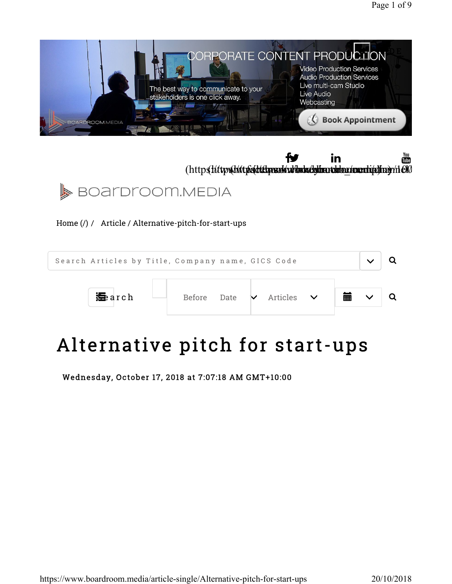





Home (/) / Article / Alternative-pitch-for-start-ups



# Alternative pitch for start-ups

Wednesday, October 17, 2018 at 7:07:18 AM GMT+10:00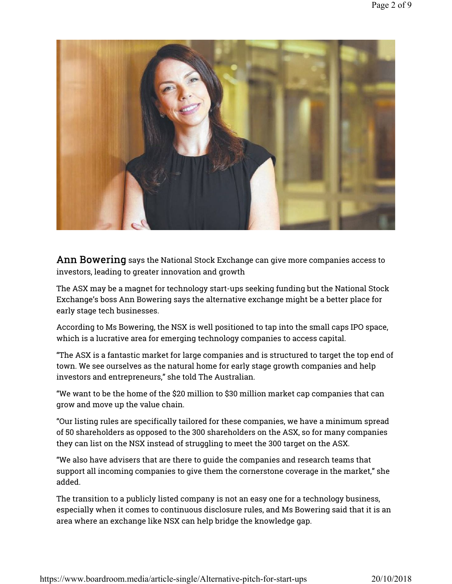

Ann Bowering says the National Stock Exchange can give more companies access to investors, leading to greater innovation and growth

The ASX may be a magnet for technology start-ups seeking funding but the National Stock Exchange's boss Ann Bowering says the alternative exchange might be a better place for early stage tech businesses.

According to Ms Bowering, the NSX is well positioned to tap into the small caps IPO space, which is a lucrative area for emerging technology companies to access capital.

"The ASX is a fantastic market for large companies and is structured to target the top end of town. We see ourselves as the natural home for early stage growth companies and help investors and entrepreneurs," she told The Australian.

"We want to be the home of the \$20 million to \$30 million market cap companies that can grow and move up the value chain.

"Our listing rules are specifically tailored for these companies, we have a minimum spread of 50 shareholders as opposed to the 300 shareholders on the ASX, so for many companies they can list on the NSX instead of struggling to meet the 300 target on the ASX.

"We also have advisers that are there to guide the companies and research teams that support all incoming companies to give them the cornerstone coverage in the market," she added.

The transition to a publicly listed company is not an easy one for a technology business, especially when it comes to continuous disclosure rules, and Ms Bowering said that it is an area where an exchange like NSX can help bridge the knowledge gap.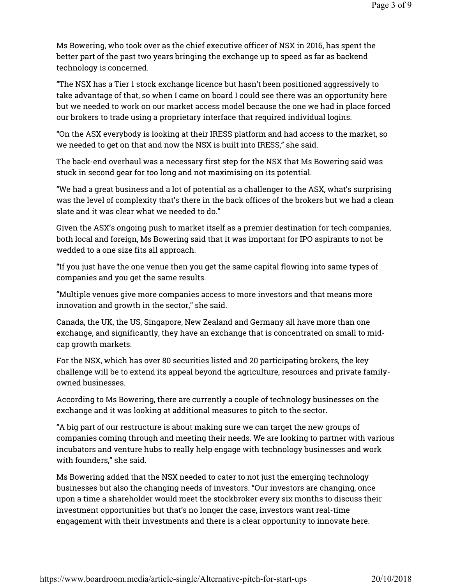Ms Bowering, who took over as the chief executive officer of NSX in 2016, has spent the better part of the past two years bringing the exchange up to speed as far as backend technology is concerned.

"The NSX has a Tier 1 stock exchange licence but hasn't been positioned aggressively to take advantage of that, so when I came on board I could see there was an opportunity here but we needed to work on our market access model because the one we had in place forced our brokers to trade using a proprietary interface that required individual logins.

"On the ASX everybody is looking at their IRESS platform and had access to the market, so we needed to get on that and now the NSX is built into IRESS," she said.

The back-end overhaul was a necessary first step for the NSX that Ms Bowering said was stuck in second gear for too long and not maximising on its potential.

"We had a great business and a lot of potential as a challenger to the ASX, what's surprising was the level of complexity that's there in the back offices of the brokers but we had a clean slate and it was clear what we needed to do."

Given the ASX's ongoing push to market itself as a premier destination for tech companies, both local and foreign, Ms Bowering said that it was important for IPO aspirants to not be wedded to a one size fits all approach.

"If you just have the one venue then you get the same capital flowing into same types of companies and you get the same results.

"Multiple venues give more companies access to more investors and that means more innovation and growth in the sector," she said.

Canada, the UK, the US, Singapore, New Zealand and Germany all have more than one exchange, and significantly, they have an exchange that is concentrated on small to midcap growth markets.

For the NSX, which has over 80 securities listed and 20 participating brokers, the key challenge will be to extend its appeal beyond the agriculture, resources and private familyowned businesses.

According to Ms Bowering, there are currently a couple of technology businesses on the exchange and it was looking at additional measures to pitch to the sector.

"A big part of our restructure is about making sure we can target the new groups of companies coming through and meeting their needs. We are looking to partner with various incubators and venture hubs to really help engage with technology businesses and work with founders," she said.

Ms Bowering added that the NSX needed to cater to not just the emerging technology businesses but also the changing needs of investors. "Our investors are changing, once upon a time a shareholder would meet the stockbroker every six months to discuss their investment opportunities but that's no longer the case, investors want real-time engagement with their investments and there is a clear opportunity to innovate here.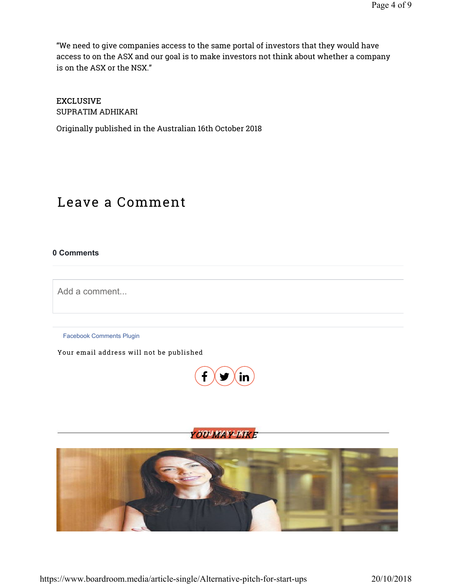"We need to give companies access to the same portal of investors that they would have access to on the ASX and our goal is to make investors not think about whether a company is on the ASX or the NSX."

#### EXCLUSIVE

SUPRATIM ADHIKARI

Originally published in the Australian 16th October 2018

## Leave a Comment

#### 0 Comments

Add a comment...

Facebook Comments Plugin

Your email address will not be published







https://www.boardroom.media/article-single/Alternative-pitch-for-start-ups 20/10/2018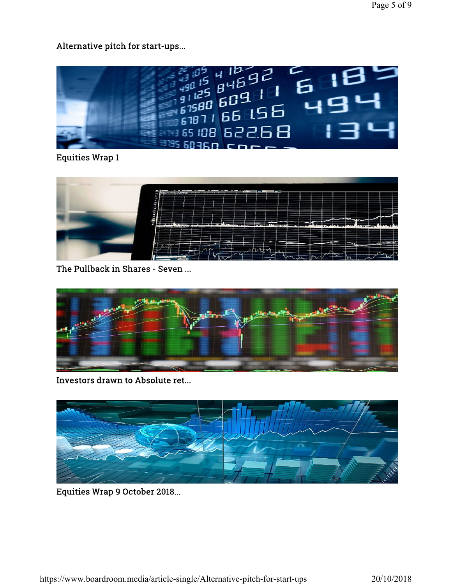Alternative pitch for start-ups...



Equities Wrap 1



The Pullback in Shares - Seven ...



Investors drawn to Absolute ret...



Equities Wrap 9 October 2018...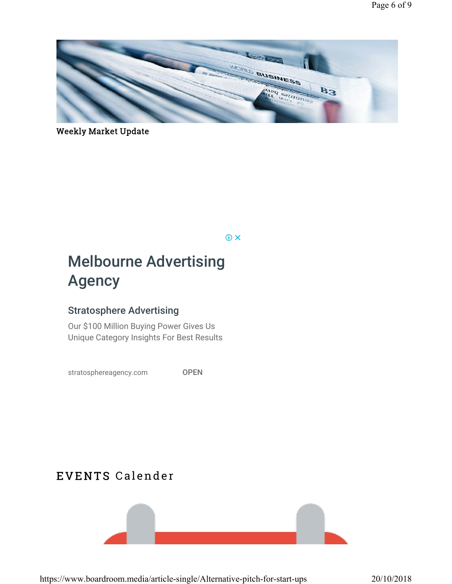

## Weekly Market Update

 $@X$ 

## Melbourne Advertising Agency

## Stratosphere Advertising

Our \$100 Million Buying Power Gives Us Unique Category Insights For Best Results

stratosphereagency.com OPEN

## EVENTS Calender



https://www.boardroom.media/article-single/Alternative-pitch-for-start-ups 20/10/2018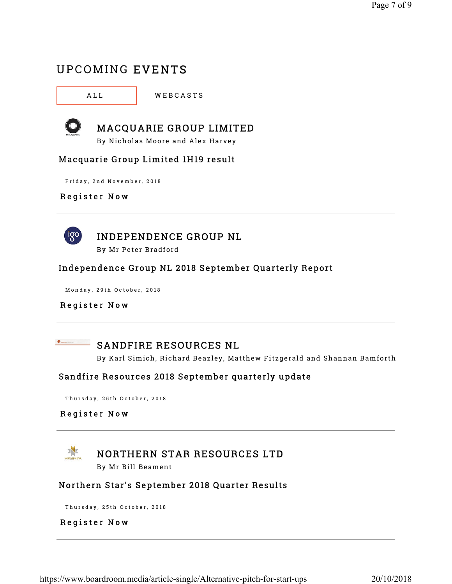## UPCOMING EVENTS

ALL **WEBCASTS** 



## MACQUARIE GROUP LIMITED

By Nicholas Moore and Alex Harvey

#### Macquarie Group Limited 1H19 result

Friday, 2nd November, 2018

#### Register Now



## INDEPENDENCE GROUP NL

By Mr Peter Bradford

#### Independence Group NL 2018 September Quarterly Report

Monday, 29th October, 2018

#### Register Now



## **SANDFIRE RESOURCES NL**

By Karl Simich, Richard Beazley, Matthew Fitzgerald and Shannan Bamforth

#### Sandfire Resources 2018 September quarterly update

Thursday, 25th October, 2018

#### Register Now



### NORTHERN STAR RESOURCES LTD

By Mr Bill Beament

#### Northern Star's September 2018 Quarter Results

Thursday, 25th October, 2018

#### Register Now

https://www.boardroom.media/article-single/Alternative-pitch-for-start-ups 20/10/2018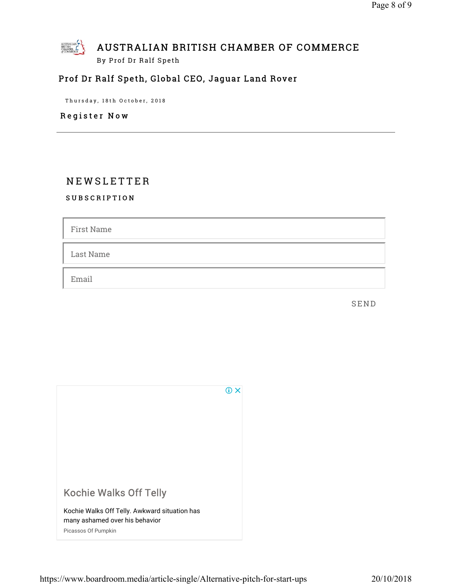

## Prof Dr Ralf Speth, Global CEO, Jaguar Land Rover

Thursday, 18th October, 2018

Register Now

## N E W S L E T T E R

SUBSCRIPTION

First Name

Last Name

Email

**SEND**